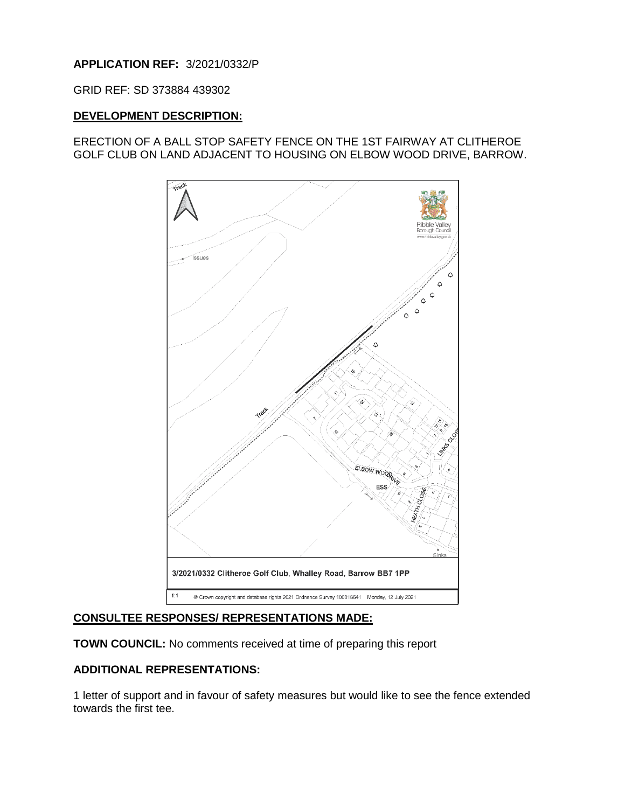# **APPLICATION REF:** 3/2021/0332/P

GRID REF: SD 373884 439302

## **DEVELOPMENT DESCRIPTION:**

## ERECTION OF A BALL STOP SAFETY FENCE ON THE 1ST FAIRWAY AT CLITHEROE GOLF CLUB ON LAND ADJACENT TO HOUSING ON ELBOW WOOD DRIVE, BARROW.



## **CONSULTEE RESPONSES/ REPRESENTATIONS MADE:**

**TOWN COUNCIL:** No comments received at time of preparing this report

# **ADDITIONAL REPRESENTATIONS:**

1 letter of support and in favour of safety measures but would like to see the fence extended towards the first tee.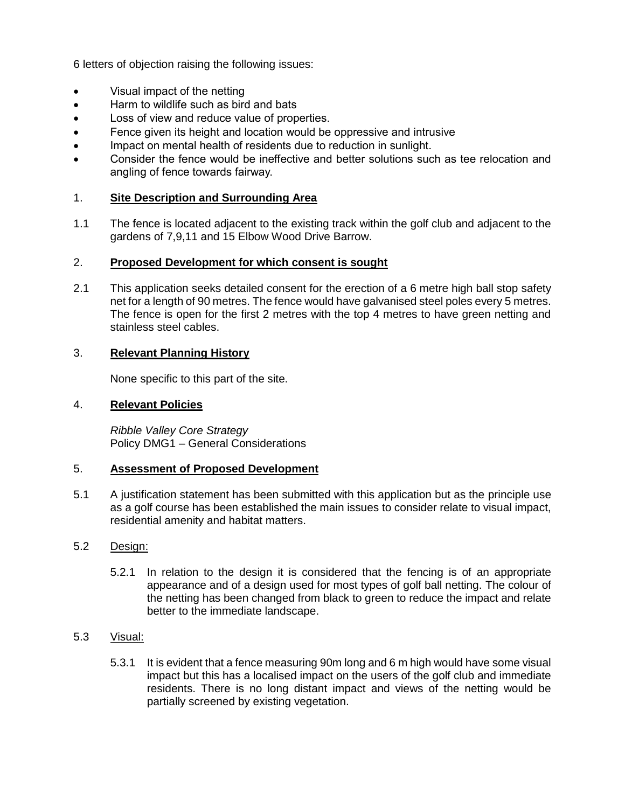6 letters of objection raising the following issues:

- Visual impact of the netting
- Harm to wildlife such as bird and bats
- Loss of view and reduce value of properties.
- Fence given its height and location would be oppressive and intrusive
- Impact on mental health of residents due to reduction in sunlight.
- Consider the fence would be ineffective and better solutions such as tee relocation and angling of fence towards fairway.

## 1. **Site Description and Surrounding Area**

1.1 The fence is located adjacent to the existing track within the golf club and adjacent to the gardens of 7,9,11 and 15 Elbow Wood Drive Barrow.

## 2. **Proposed Development for which consent is sought**

2.1 This application seeks detailed consent for the erection of a 6 metre high ball stop safety net for a length of 90 metres. The fence would have galvanised steel poles every 5 metres. The fence is open for the first 2 metres with the top 4 metres to have green netting and stainless steel cables.

## 3. **Relevant Planning History**

None specific to this part of the site.

#### 4. **Relevant Policies**

*Ribble Valley Core Strategy*  Policy DMG1 – General Considerations

#### 5. **Assessment of Proposed Development**

5.1 A justification statement has been submitted with this application but as the principle use as a golf course has been established the main issues to consider relate to visual impact, residential amenity and habitat matters.

## 5.2 Design:

5.2.1 In relation to the design it is considered that the fencing is of an appropriate appearance and of a design used for most types of golf ball netting. The colour of the netting has been changed from black to green to reduce the impact and relate better to the immediate landscape.

## 5.3 Visual:

5.3.1 It is evident that a fence measuring 90m long and 6 m high would have some visual impact but this has a localised impact on the users of the golf club and immediate residents. There is no long distant impact and views of the netting would be partially screened by existing vegetation.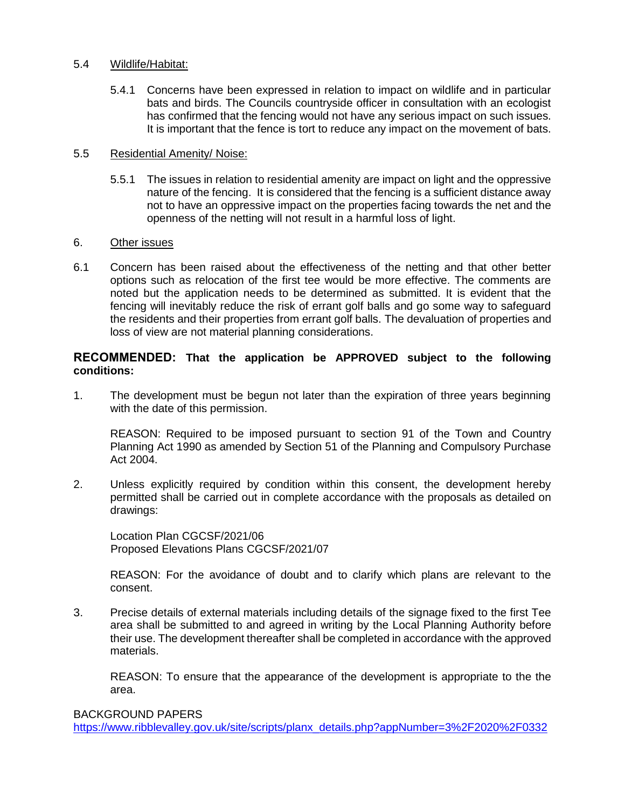## 5.4 Wildlife/Habitat:

5.4.1 Concerns have been expressed in relation to impact on wildlife and in particular bats and birds. The Councils countryside officer in consultation with an ecologist has confirmed that the fencing would not have any serious impact on such issues. It is important that the fence is tort to reduce any impact on the movement of bats.

## 5.5 Residential Amenity/ Noise:

5.5.1 The issues in relation to residential amenity are impact on light and the oppressive nature of the fencing. It is considered that the fencing is a sufficient distance away not to have an oppressive impact on the properties facing towards the net and the openness of the netting will not result in a harmful loss of light.

## 6. Other issues

6.1 Concern has been raised about the effectiveness of the netting and that other better options such as relocation of the first tee would be more effective. The comments are noted but the application needs to be determined as submitted. It is evident that the fencing will inevitably reduce the risk of errant golf balls and go some way to safeguard the residents and their properties from errant golf balls. The devaluation of properties and loss of view are not material planning considerations.

## **RECOMMENDED: That the application be APPROVED subject to the following conditions:**

1. The development must be begun not later than the expiration of three years beginning with the date of this permission.

 REASON: Required to be imposed pursuant to section 91 of the Town and Country Planning Act 1990 as amended by Section 51 of the Planning and Compulsory Purchase Act 2004.

2. Unless explicitly required by condition within this consent, the development hereby permitted shall be carried out in complete accordance with the proposals as detailed on drawings:

Location Plan CGCSF/2021/06 Proposed Elevations Plans CGCSF/2021/07

REASON: For the avoidance of doubt and to clarify which plans are relevant to the consent.

3. Precise details of external materials including details of the signage fixed to the first Tee area shall be submitted to and agreed in writing by the Local Planning Authority before their use. The development thereafter shall be completed in accordance with the approved materials.

REASON: To ensure that the appearance of the development is appropriate to the the area.

BACKGROUND PAPERS

[https://www.ribblevalley.gov.uk/site/scripts/planx\\_details.php?appNumber=3%2F2020%2F0332](https://www.ribblevalley.gov.uk/site/scripts/planx_details.php?appNumber=3%2F2020%2F0332)